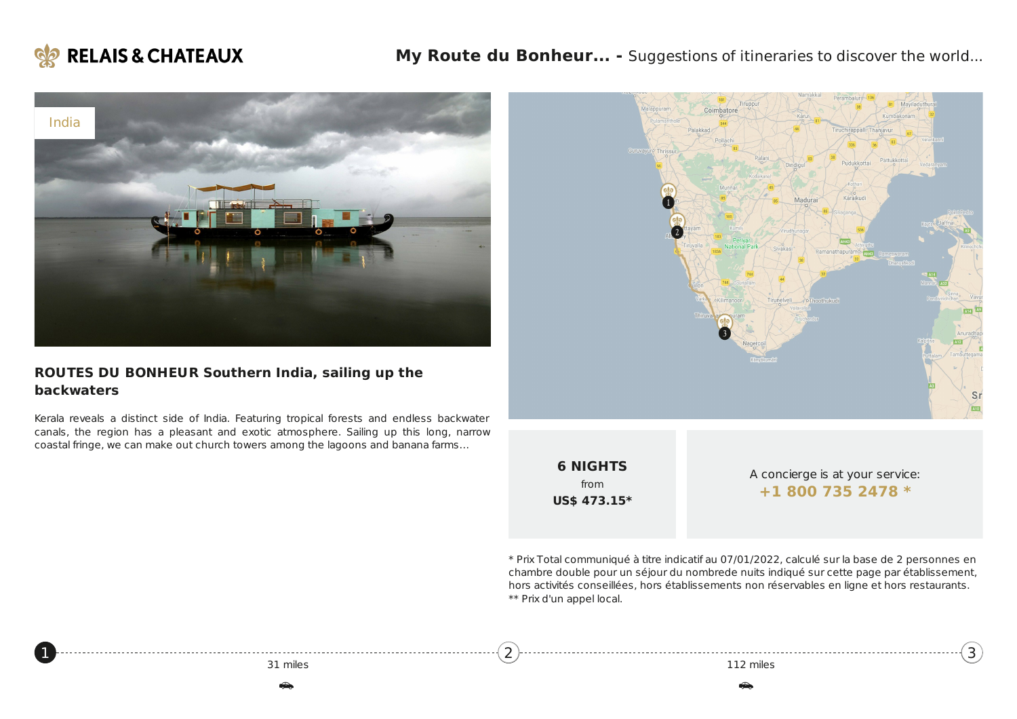

<span id="page-0-0"></span>[1](#page-0-0)



#### **ROUTES DU BONHEUR Southern India, sailing up the backwaters**

Kerala reveals a distinct side of India. Featuring tropical forests and endless backwater canals, the region has a pleasant and exotic atmosphere. Sailing up this long, narrow coastal fringe, we can make out church towers among the lagoons and banana farms…



**6 NIGHTS** from **US\$ 473.15\***

[2](#page-1-0)

A concierge is at your service: **+1 800 735 [2478](tel:+18007352478) \***

[3](#page-2-0)

\* Prix Total communiqué à titre indicatif au 07/01/2022, calculé sur la base de 2 personnes en chambre double pour un séjour du nombrede nuits indiqué sur cette page par établissement, hors activités conseillées, hors établissements non réservables en ligne et hors restaurants. \*\* Prix d'un appel local.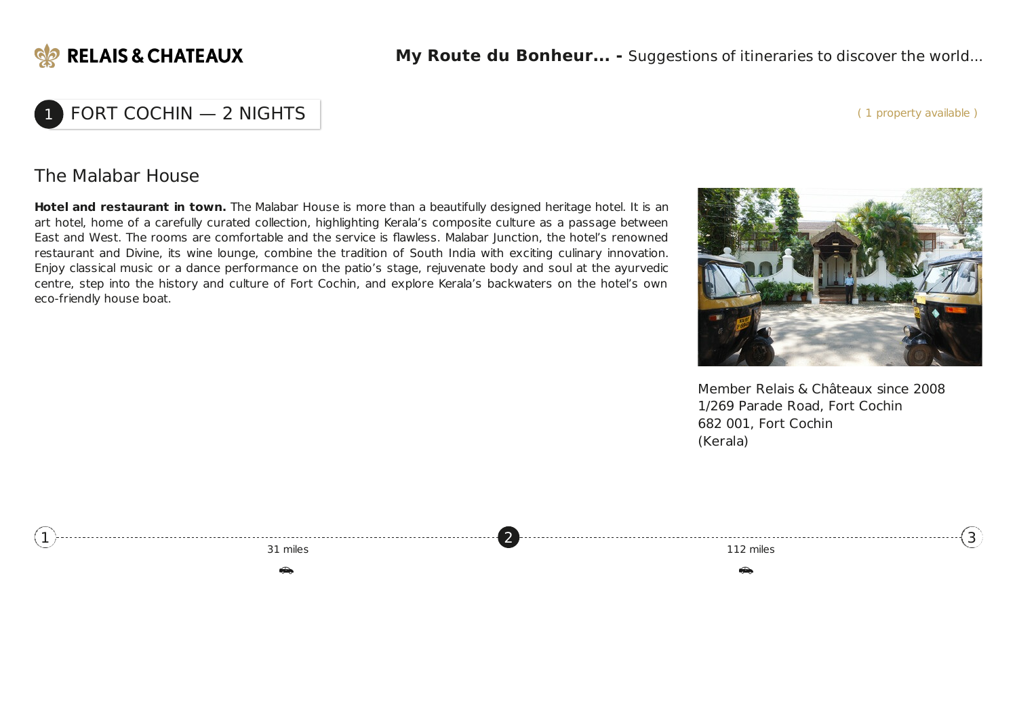

#### ( 1 property available )

# $FORT COCHIN - 2 NIGHTS$

#### The Malabar House

**Hotel and restaurant in town.** The Malabar House is more than a beautifully designed heritage hotel. It is an art hotel, home of a carefully curated collection, highlighting Kerala's composite culture as a passage between East and West. The rooms are comfortable and the service is flawless. Malabar Junction, the hotel's renowned restaurant and Divine, its wine lounge, combine the tradition of South India with exciting culinary innovation. Enjoy classical music or a dance performance on the patio's stage, rejuvenate body and soul at the ayurvedic centre, step into the history and culture of Fort Cochin, and explore Kerala's backwaters on the hotel's own eco-friendly house boat.



Member Relais & Châteaux since 2008 1/269 Parade Road, Fort Cochin 682 001, Fort Cochin (Kerala)

<span id="page-1-0"></span>

| the contract of the contract of the contract of the contract of the contract of the contract of the contract of |  |
|-----------------------------------------------------------------------------------------------------------------|--|
| m <sub>1</sub>                                                                                                  |  |
|                                                                                                                 |  |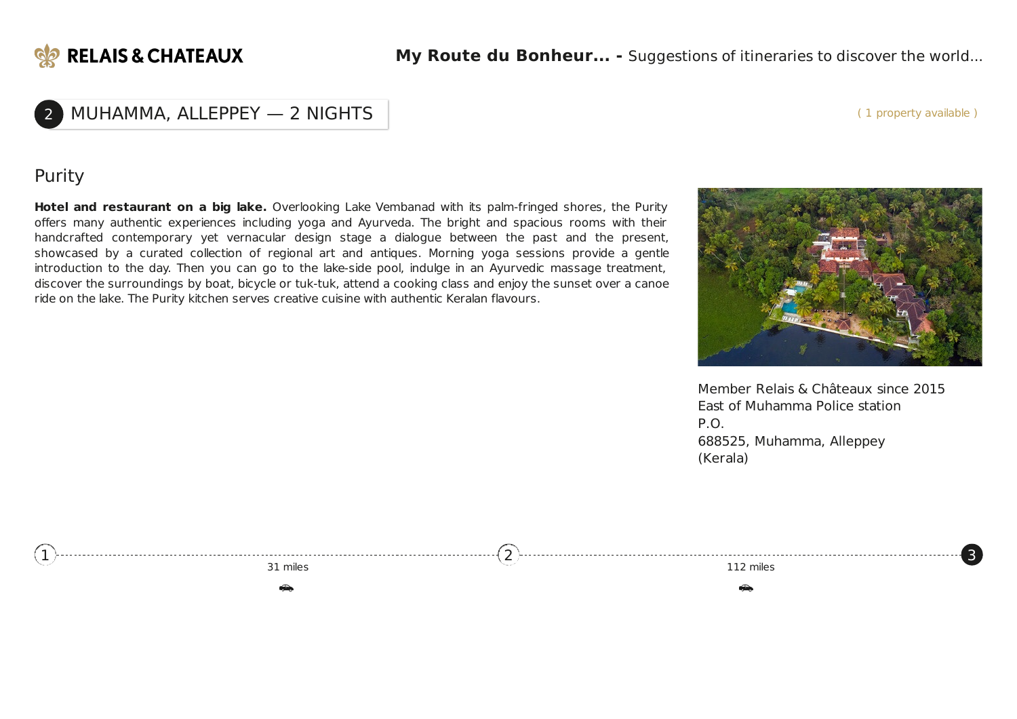

### 2 MUHAMMA, ALLEPPEY — 2 NIGHTS

( 1 property available )

#### Purity

**Hotel and restaurant on a big lake.** Overlooking Lake Vembanad with its palm-fringed shores, the Purity offers many authentic experiences including yoga and Ayurveda. The bright and spacious rooms with their handcrafted contemporary yet vernacular design stage a dialogue between the past and the present, showcased by a curated collection of regional art and antiques. Morning yoga sessions provide a gentle introduction to the day. Then you can go to the lake-side pool, indulge in an Ayurvedic massage treatment, discover the surroundings by boat, bicycle or tuk-tuk, attend a cooking class and enjoy the sunset over a canoe ride on the lake. The Purity kitchen serves creative cuisine with authentic Keralan flavours.



Member Relais & Châteaux since 2015 East of Muhamma Police station P.O. 688525, Muhamma, Alleppey (Kerala)

<span id="page-2-0"></span>